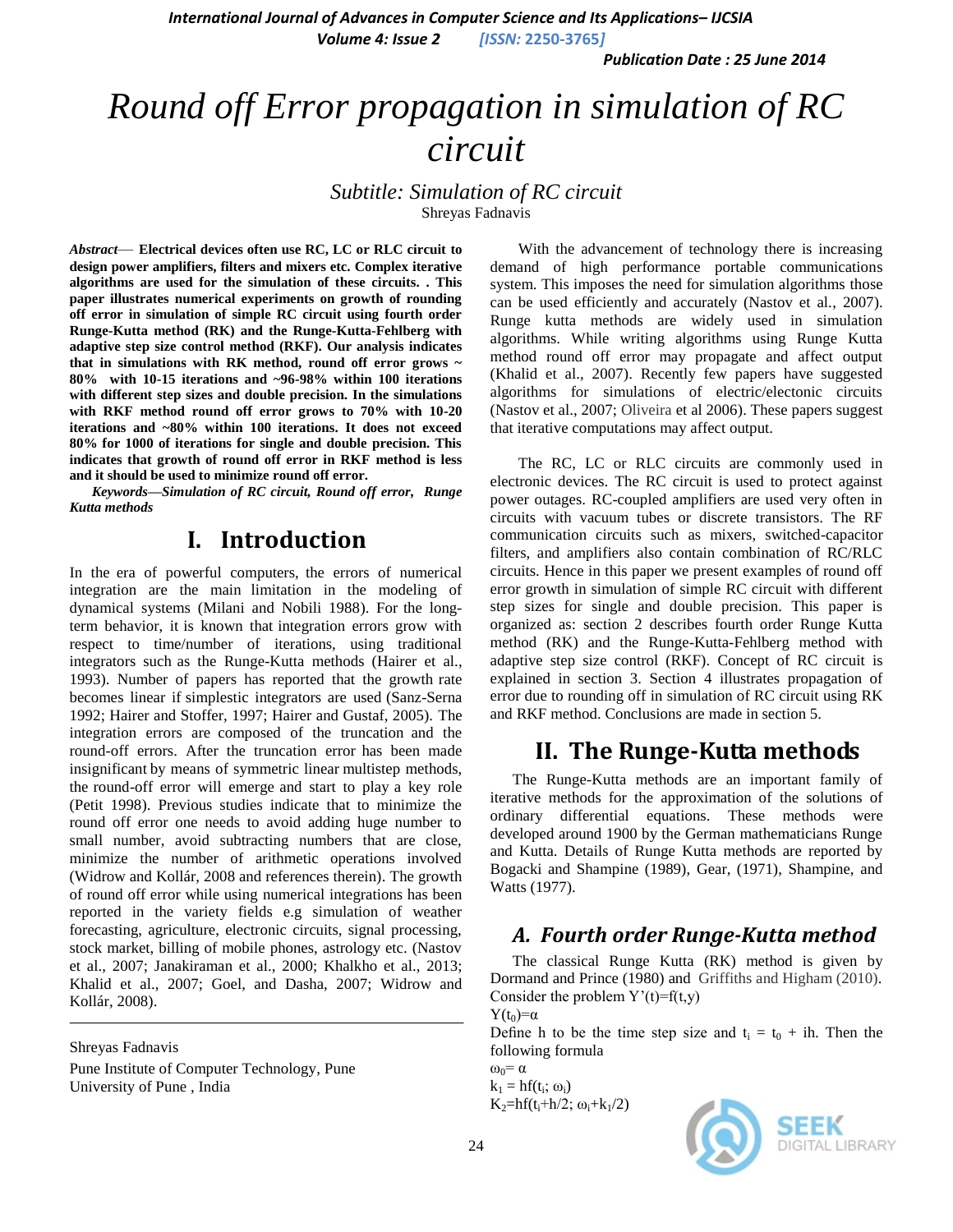*International Journal of Advances in Computer Science and Its Applications– IJCSIA*

*Volume 4: Issue 2 [ISSN:* **2250-3765***]*

*Publication Date : 25 June 2014*

# *Round off Error propagation in simulation of RC circuit*

### *Subtitle: Simulation of RC circuit* Shreyas Fadnavis

*Abstract*— **Electrical devices often use RC, LC or RLC circuit to design power amplifiers, filters and mixers etc. Complex iterative algorithms are used for the simulation of these circuits. . This paper illustrates numerical experiments on growth of rounding off error in simulation of simple RC circuit using fourth order Runge-Kutta method (RK) and the Runge-Kutta-Fehlberg with adaptive step size control method (RKF). Our analysis indicates that in simulations with RK method, round off error grows ~ 80% with 10-15 iterations and ~96-98% within 100 iterations with different step sizes and double precision. In the simulations with RKF method round off error grows to 70% with 10-20 iterations and ~80% within 100 iterations. It does not exceed 80% for 1000 of iterations for single and double precision. This indicates that growth of round off error in RKF method is less and it should be used to minimize round off error.**

*Keywords—Simulation of RC circuit, Round off error, Runge Kutta methods*

# **I. Introduction**

In the era of powerful computers, the errors of numerical integration are the main limitation in the modeling of dynamical systems [\(Milani and Nobili 1988\)](http://iopscience.iop.org/1538-3881/121/3/1768/fulltext/200204.text.html#rf13). For the longterm behavior, it is known that integration errors grow with respect to time/number of iterations, using traditional integrators such as the Runge-Kutta methods [\(Hairer et al.,](http://iopscience.iop.org/1538-3881/121/3/1768/fulltext/200204.text.html#rf9)  [1993\)](http://iopscience.iop.org/1538-3881/121/3/1768/fulltext/200204.text.html#rf9). Number of papers has reported that the growth rate becomes linear if simplestic integrators are used [\(Sanz-Serna](http://iopscience.iop.org/1538-3881/121/3/1768/fulltext/200204.text.html#rf18)  [1992;](http://iopscience.iop.org/1538-3881/121/3/1768/fulltext/200204.text.html#rf18) Hairer and Stoffer, 1997; Hairer and Gustaf, 2005). The integration errors are composed of the truncation and the round-off errors. After the truncation error has been made insignificant by means of symmetric linear multistep methods, the round-off error will emerge and start to play a key role [\(Petit 1998\)](http://iopscience.iop.org/1538-3881/121/3/1768/fulltext/200204.text.html#rf14). Previous studies indicate that to minimize the round off error one needs to avoid adding huge number to small number, avoid subtracting numbers that are close, minimize the number of arithmetic operations involved [\(Widrow](http://www.amazon.com/Bernard-Widrow/e/B001H6L8RA/ref=ntt_athr_dp_pel_1) and [Kollár,](http://www.amazon.com/s/ref=ntt_athr_dp_sr_2?_encoding=UTF8&field-author=Istv%C3%A1n%20Koll%C3%A1r&search-alias=books&sort=relevancerank) 2008 and references therein). The growth of round off error while using numerical integrations has been reported in the variety fields e.g simulation of weather forecasting, agriculture, electronic circuits, signal processing, stock market, billing of mobile phones, astrology etc. (Nastov et al., 2007; Janakiraman et al., 2000; Khalkho et al., 2013[;](http://aalborg.academia.edu/MdSaifuddinKhalid) [Khalid](http://aalborg.academia.edu/MdSaifuddinKhalid) et al., 2007; [Goel,](http://www.sciencedirect.com/science/article/pii/S1364815206001691) and [Dasha,](http://www.sciencedirect.com/science/article/pii/S1364815206001691) 2007; [Widrow](http://www.amazon.com/Bernard-Widrow/e/B001H6L8RA/ref=ntt_athr_dp_pel_1) and [Kollár,](http://www.amazon.com/s/ref=ntt_athr_dp_sr_2?_encoding=UTF8&field-author=Istv%C3%A1n%20Koll%C3%A1r&search-alias=books&sort=relevancerank) 2008).

Shreyas Fadnavis

Pune Institute of Computer Technology, Pune University of Pune , India

With the advancement of technology there is increasing demand of high performance portable communications system. This imposes the need for simulation algorithms those can be used efficiently and accurately (Nastov et al., 2007). Runge kutta methods are widely used in simulation algorithms. While writing algorithms using Runge Kutta method round off error may propagate and affect output [\(Khalid](http://aalborg.academia.edu/MdSaifuddinKhalid) et al., 2007). Recently few papers have suggested algorithms for simulations of electric/electonic circuits (Nastov et al., 2007; [Oliveira](https://iconline.ipleiria.pt/browse?type=author&value=Oliveira%2C+Jorge+dos+Santos+Freitas+de) et al 2006). These papers suggest that iterative computations may affect output.

The RC, LC or RLC circuits are commonly used in electronic devices. The RC circuit is used to protect against power outages. RC-coupled amplifiers are used very often in circuits with vacuum tubes or discrete transistors. The RF communication circuits such as mixers, switched-capacitor filters, and amplifiers also contain combination of RC/RLC circuits. Hence in this paper we present examples of round off error growth in simulation of simple RC circuit with different step sizes for single and double precision. This paper is organized as: section 2 describes fourth order Runge Kutta method (RK) and the Runge-Kutta-Fehlberg method with adaptive step size control (RKF). Concept of RC circuit is explained in section 3. Section 4 illustrates propagation of error due to rounding off in simulation of RC circuit using RK and RKF method. Conclusions are made in section 5.

### **II. The Runge-Kutta methods**

The Runge-Kutta methods are an important family of iterative methods for the approximation of the solutions of ordinary differential equations. These methods were developed around 1900 by the German mathematicians Runge and Kutta. Details of Runge Kutta methods are reported by Bogacki and Shampine (1989), Gear, (1971), Shampine, and Watts (1977).

### *A. Fourth order Runge-Kutta method*

The classical Runge Kutta (RK) method is given by Dormand and Prince (1980) and [Griffiths](http://link.springer.com/search?facet-author=%22David+F.+Griffiths%22) and [Higham](http://link.springer.com/search?facet-author=%22Desmond+J.+Higham%22) (2010). Consider the problem  $Y'(t)=f(t,y)$ 

 $Y(t_0)=\alpha$ 

Define h to be the time step size and  $t_i = t_0 + ih$ . Then the following formula

 $\omega_0 = \alpha$  $k_1 = hf(t_i; \omega_i)$ 

 $K_2=hf(t_i+h/2; \omega_i+k_1/2)$ 

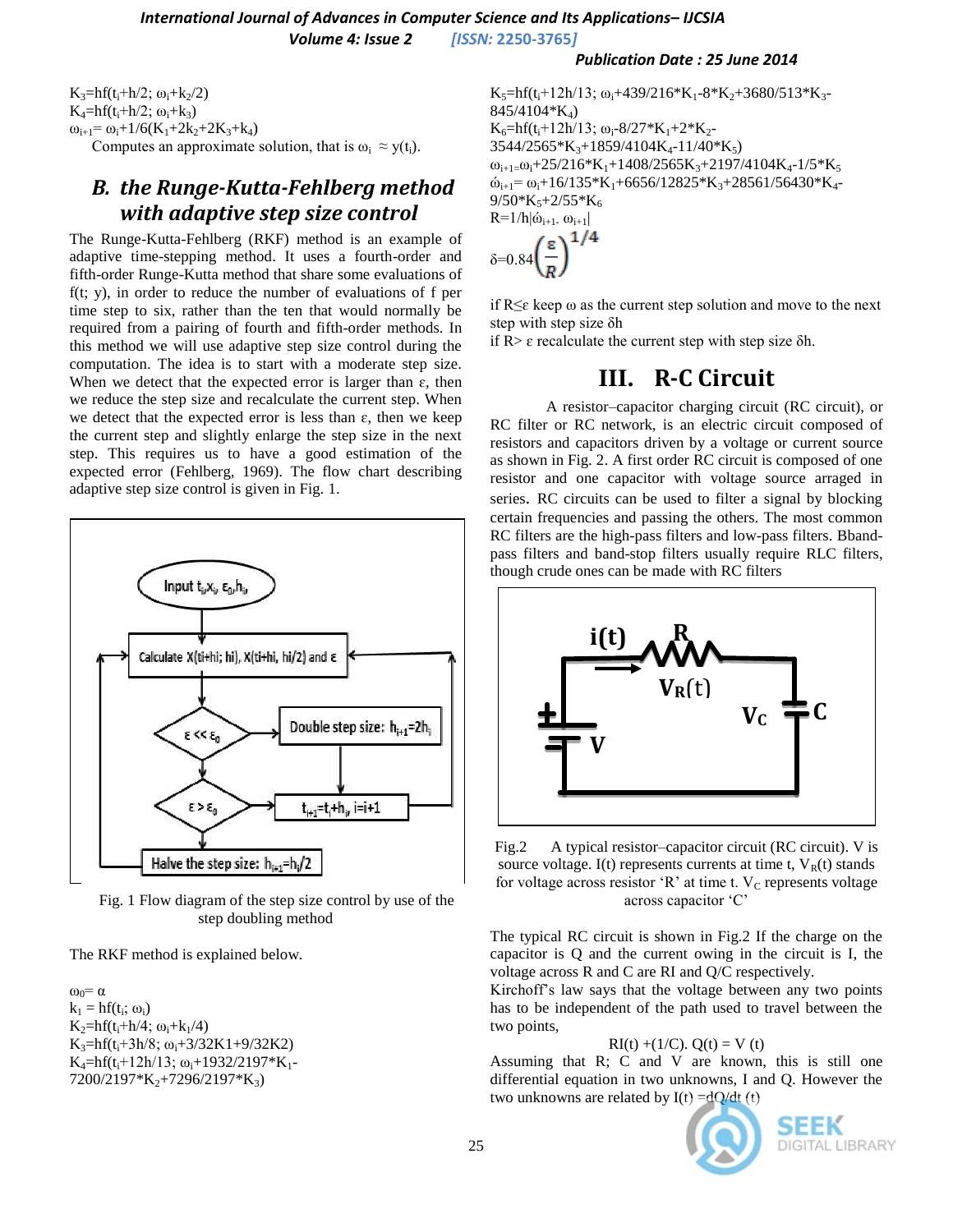### $K_3=hf(t_1+h/2; \omega_1+k_2/2)$  $K_4 = hf(t_1 + h/2; \omega_1 + k_3)$  $\omega_{i+1} = \omega_i + 1/6(K_1 + 2k_2 + 2K_3 + k_4)$

Computes an approximate solution, that is  $\omega_i \approx y(t_i)$ .

# *B. the Runge-Kutta-Fehlberg method with adaptive step size control*

The Runge-Kutta-Fehlberg (RKF) method is an example of adaptive time-stepping method. It uses a fourth-order and fifth-order Runge-Kutta method that share some evaluations of  $f(t; y)$ , in order to reduce the number of evaluations of f per time step to six, rather than the ten that would normally be required from a pairing of fourth and fifth-order methods. In this method we will use adaptive step size control during the computation. The idea is to start with a moderate step size. When we detect that the expected error is larger than  $\varepsilon$ , then we reduce the step size and recalculate the current step. When we detect that the expected error is less than  $\varepsilon$ , then we keep the current step and slightly enlarge the step size in the next step. This requires us to have a good estimation of the expected error (Fehlberg, 1969). The flow chart describing adaptive step size control is given in Fig. 1.



Fig. 1 Flow diagram of the step size control by use of the step doubling method

The RKF method is explained below.

 $\omega_0 = \alpha$  $k_1 = hf(t_i; \omega_i)$  $K_2=hf(t_i+h/4; \omega_i+k_1/4)$  $K_3=hf(t_1+3h/8; \omega_1+3/32K1+9/32K2)$  $K_4=hf(t_1+12h/13; \omega_1+1932/2197*K_1 7200/2197*K<sub>2</sub>+7296/2197*K<sub>3</sub>)$ 

#### *Publication Date : 25 June 2014*

 $K_5=hf(t_1+12h/13; \omega_1+439/216*K_1-8*K_2+3680/513*K_3-$ 845/4104\*K4)  $K_6=hf(t_i+12h/13; \omega_i-8/27*K_1+2*K_2 3544/2565*K_{3}+1859/4104K_{4}-11/40*K_{5}$  $\omega_{i+1} = \omega_i + 25/216*K_1 + 1408/2565K_3 + 2197/4104K_4 - 1/5*K_5$  $\dot{\omega}_{i+1}$ =  $\omega_i$ +16/135\*K<sub>1</sub>+6656/12825\*K<sub>3</sub>+28561/56430\*K<sub>4</sub>- $9/50*K<sub>5</sub>+2/55*K<sub>6</sub>$  $R=1/h|\dot{\omega}_{i+1}-\omega_{i+1}|$ 

$$
\delta = 0.84 \left(\frac{\varepsilon}{R}\right)^{1/4}
$$

if  $R \leq \varepsilon$  keep  $\omega$  as the current step solution and move to the next step with step size δh

if R> ɛ recalculate the current step with step size δh.

# **III. R-C Circuit**

A resistor–capacitor charging circuit (RC circuit), or RC filter or RC network, is an [electric circuit](http://en.wikipedia.org/wiki/Electric_circuit) composed of [resistors](http://en.wikipedia.org/wiki/Resistors) and [capacitors](http://en.wikipedia.org/wiki/Capacitors) driven by a [voltage](http://en.wikipedia.org/wiki/Voltage_source) or [current source](http://en.wikipedia.org/wiki/Current_source) as shown in Fig. 2. A first order RC circuit is composed of one resistor and one capacitor with voltage source arraged in series. RC circuits can be used to filter a signal by blocking certain frequencies and passing the others. The most common RC filters are the [high-pass filters](http://en.wikipedia.org/wiki/High-pass_filter) and [low-pass filters.](http://en.wikipedia.org/wiki/Low-pass_filter) [Bband](http://en.wikipedia.org/wiki/Band-pass_filter)[pass filters](http://en.wikipedia.org/wiki/Band-pass_filter) and [band-stop filters](http://en.wikipedia.org/wiki/Band-stop_filter) usually require [RLC filters,](http://en.wikipedia.org/wiki/RLC_filter) though crude ones can be made with RC filters



Fig.2 A typical resistor–capacitor circuit (RC circuit). V is source voltage. I(t) represents currents at time t,  $V_R(t)$  stands for voltage across resistor  $R$ ' at time t. V<sub>C</sub> represents voltage across capacitor 'C'

The typical RC circuit is shown in Fig.2 If the charge on the capacitor is Q and the current owing in the circuit is I, the voltage across R and C are RI and Q/C respectively.

Kirchoff's law says that the voltage between any two points has to be independent of the path used to travel between the two points,

 $RI(t) + (1/C)$ .  $Q(t) = V(t)$ 

Assuming that R; C and V are known, this is still one differential equation in two unknowns, I and Q. However the two unknowns are related by  $I(t) = dQ/dt$  (t)



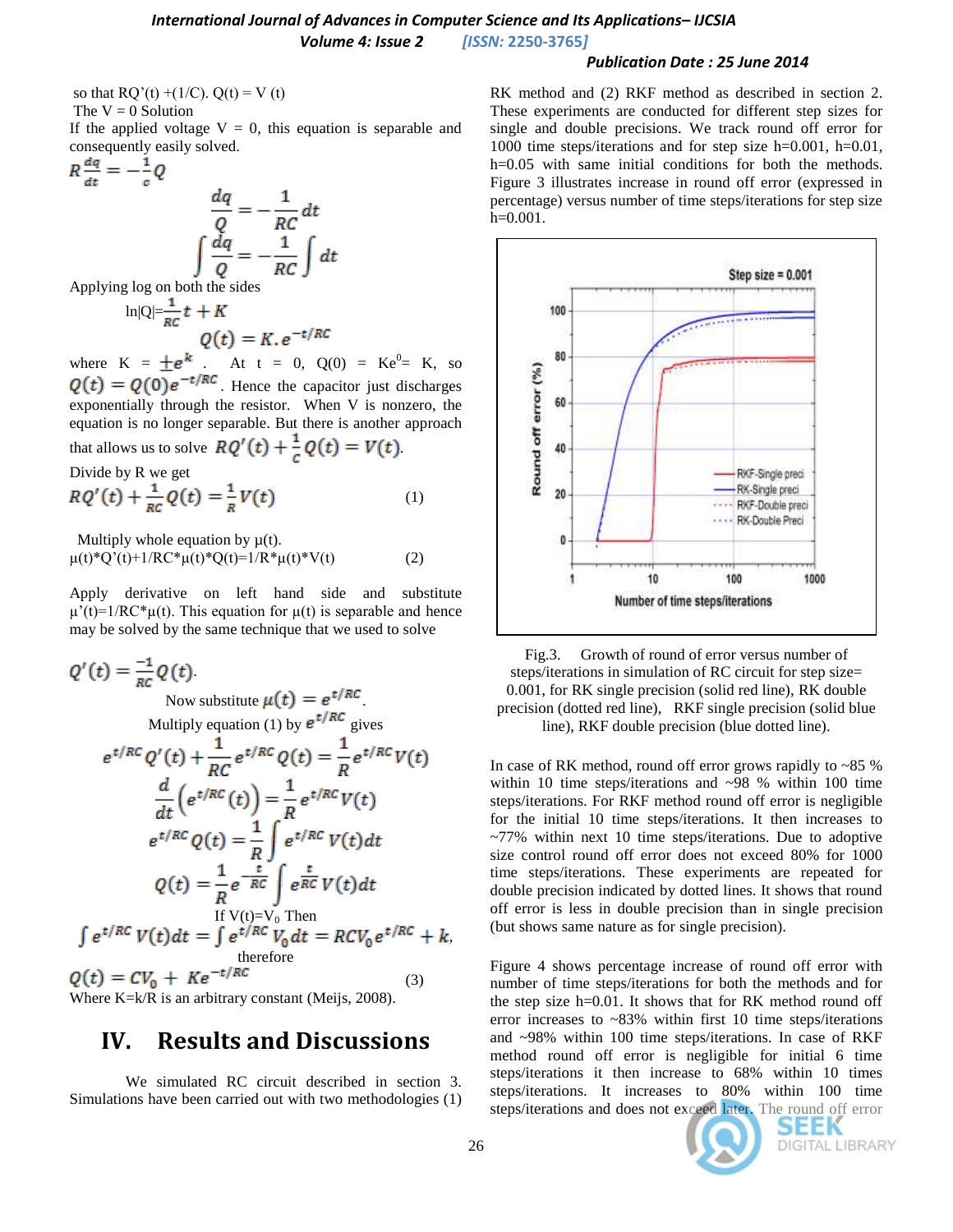#### *International Journal of Advances in Computer Science and Its Applications– IJCSIA Volume 4: Issue 2 [ISSN:* **2250-3765***]*

#### *Publication Date : 25 June 2014*

so that  $RQ'(t) + (1/C)$ .  $Q(t) = V(t)$ The  $V = 0$  Solution If the applied voltage  $V = 0$ , this equation is separable and

consequently easily solved.<br> $R \frac{dq}{dt} = -\frac{1}{c}Q$ 

$$
\frac{dq}{c} = -\frac{1}{RC} dt
$$

$$
\int \frac{dq}{Q} = -\frac{1}{RC} \int dt
$$

Applying log on both the sides

$$
\ln|Q| = \frac{1}{RC}t + K
$$
  
 
$$
Q(t) = K \cdot e^{-t/RC}
$$

where  $K = \pm e^{k}$ . At  $t = 0$ ,  $Q(0) = Ke^{0} = K$ , so . Hence the capacitor just discharges exponentially through the resistor. When V is nonzero, the equation is no longer separable. But there is another approach that allows us to solve  $RQ'(t) + \frac{1}{c}Q(t) = V(t)$ .

Divide by R we get

$$
RQ'(t) + \frac{1}{RC}Q(t) = \frac{1}{R}V(t)
$$
 (1)

Multiply whole equation by  $\mu(t)$ .  $\mu(t)^*Q'(t)+1/RC^*\mu(t)^*Q(t)=1/R^*\mu(t)^*V(t)$  (2)

Apply derivative on left hand side and substitute  $\mu'(t)=1/RC^* \mu(t)$ . This equation for  $\mu(t)$  is separable and hence may be solved by the same technique that we used to solve

$$
Q'(t) = \frac{-1}{\kappa c} Q(t)
$$
  
\nNow substitute  $\mu(t) = e^{t/RC}$   
\nMultiply equation (1) by  $e^{t/RC}$  gives  
\n
$$
e^{t/RC} Q'(t) + \frac{1}{RC} e^{t/RC} Q(t) = \frac{1}{R} e^{t/RC} V(t)
$$
\n
$$
\frac{d}{dt} (e^{t/RC}(t)) = \frac{1}{R} e^{t/RC} V(t)
$$
\n
$$
e^{t/RC} Q(t) = \frac{1}{R} \int e^{t/RC} V(t) dt
$$
\n
$$
Q(t) = \frac{1}{R} e^{-\frac{t}{RC}} \int e^{\frac{t}{RC}} V(t) dt
$$
\nIf  $V(t)=V_0$  Then  
\n
$$
\int e^{t/RC} V(t) dt = \int e^{t/RC} V_0 dt = RCV_0 e^{t/RC} + k,
$$
\ntherefore  
\n
$$
Q(t) = CV_0 + Ke^{-t/RC}
$$
\n(3)

Where K=k/R is an arbitrary constant (Meijs, 2008).

### **IV. Results and Discussions**

We simulated RC circuit described in section 3. Simulations have been carried out with two methodologies (1) RK method and (2) RKF method as described in section 2. These experiments are conducted for different step sizes for single and double precisions. We track round off error for 1000 time steps/iterations and for step size h=0.001, h=0.01, h=0.05 with same initial conditions for both the methods. Figure 3 illustrates increase in round off error (expressed in percentage) versus number of time steps/iterations for step size  $h=0.001$ .



Fig.3. Growth of round of error versus number of steps/iterations in simulation of RC circuit for step size= 0.001, for RK single precision (solid red line), RK double precision (dotted red line), RKF single precision (solid blue line), RKF double precision (blue dotted line).

In case of RK method, round off error grows rapidly to ~85 % within 10 time steps/iterations and ~98 % within 100 time steps/iterations. For RKF method round off error is negligible for the initial 10 time steps/iterations. It then increases to  $~10$  time steps/iterations. Due to adoptive size control round off error does not exceed 80% for 1000 time steps/iterations. These experiments are repeated for double precision indicated by dotted lines. It shows that round off error is less in double precision than in single precision (but shows same nature as for single precision).

Figure 4 shows percentage increase of round off error with number of time steps/iterations for both the methods and for the step size h=0.01. It shows that for RK method round off error increases to ~83% within first 10 time steps/iterations and ~98% within 100 time steps/iterations. In case of RKF method round off error is negligible for initial 6 time steps/iterations it then increase to 68% within 10 times steps/iterations. It increases to 80% within 100 time steps/iterations and does not exceed later. The round off error

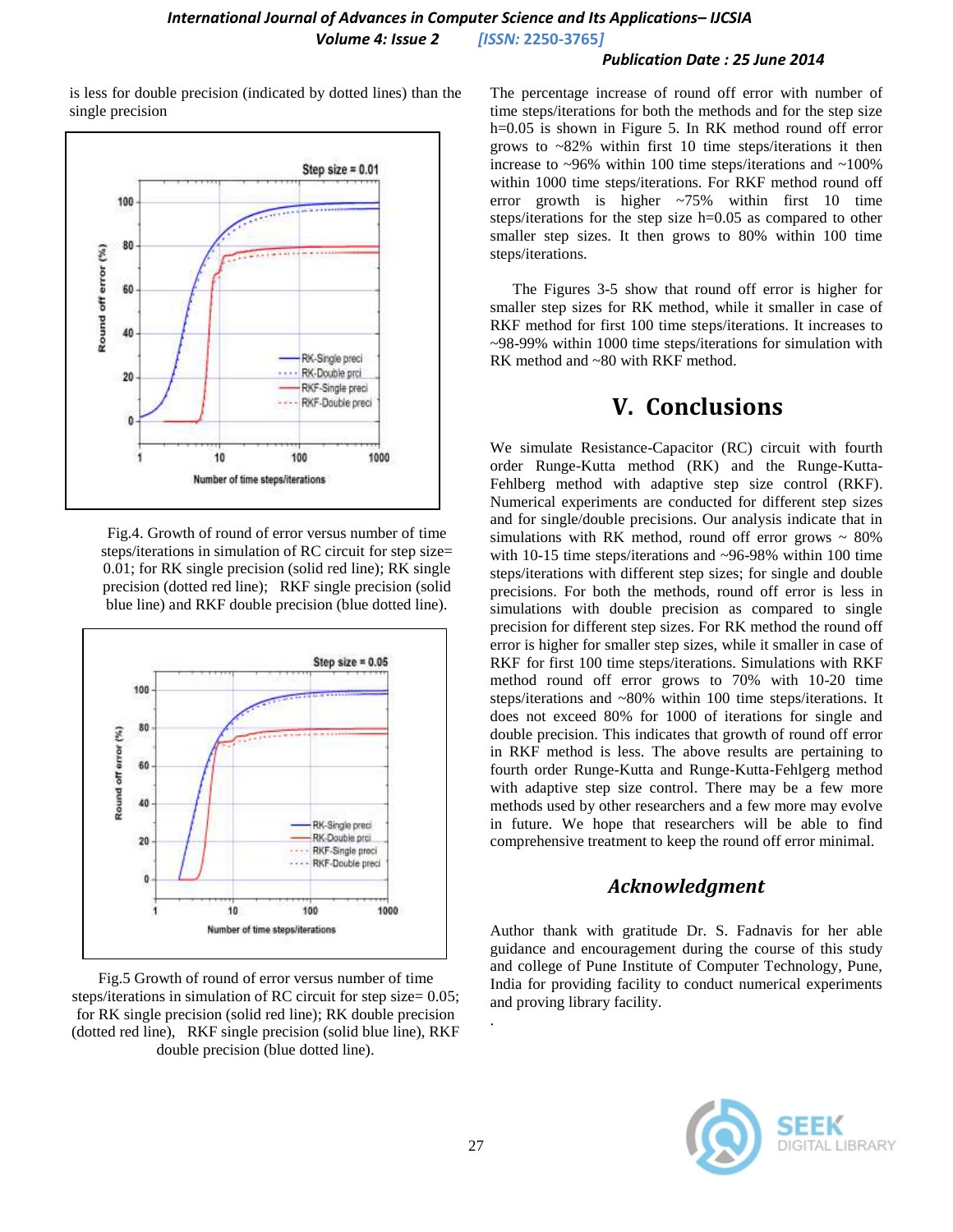### *International Journal of Advances in Computer Science and Its Applications– IJCSIA Volume 4: Issue 2 [ISSN:* **2250-3765***]*

#### *Publication Date : 25 June 2014*

is less for double precision (indicated by dotted lines) than the single precision



Fig.4. Growth of round of error versus number of time steps/iterations in simulation of RC circuit for step size= 0.01; for RK single precision (solid red line); RK single precision (dotted red line); RKF single precision (solid blue line) and RKF double precision (blue dotted line).



Fig.5 Growth of round of error versus number of time steps/iterations in simulation of RC circuit for step size= 0.05; for RK single precision (solid red line); RK double precision (dotted red line), RKF single precision (solid blue line), RKF double precision (blue dotted line).

The percentage increase of round off error with number of time steps/iterations for both the methods and for the step size h=0.05 is shown in Figure 5. In RK method round off error grows to ~82% within first 10 time steps/iterations it then increase to  $\sim$ 96% within 100 time steps/iterations and  $\sim$ 100% within 1000 time steps/iterations. For RKF method round off error growth is higher  $\approx 75\%$  within first 10 time steps/iterations for the step size h=0.05 as compared to other smaller step sizes. It then grows to 80% within 100 time steps/iterations.

The Figures 3-5 show that round off error is higher for smaller step sizes for RK method, while it smaller in case of RKF method for first 100 time steps/iterations. It increases to ~98-99% within 1000 time steps/iterations for simulation with RK method and ~80 with RKF method.

# **V. Conclusions**

We simulate Resistance-Capacitor (RC) circuit with fourth order Runge-Kutta method (RK) and the Runge-Kutta-Fehlberg method with adaptive step size control (RKF). Numerical experiments are conducted for different step sizes and for single/double precisions. Our analysis indicate that in simulations with RK method, round off error grows  $\sim 80\%$ with 10-15 time steps/iterations and ~96-98% within 100 time steps/iterations with different step sizes; for single and double precisions. For both the methods, round off error is less in simulations with double precision as compared to single precision for different step sizes. For RK method the round off error is higher for smaller step sizes, while it smaller in case of RKF for first 100 time steps/iterations. Simulations with RKF method round off error grows to 70% with 10-20 time steps/iterations and ~80% within 100 time steps/iterations. It does not exceed 80% for 1000 of iterations for single and double precision. This indicates that growth of round off error in RKF method is less. The above results are pertaining to fourth order Runge-Kutta and Runge-Kutta-Fehlgerg method with adaptive step size control. There may be a few more methods used by other researchers and a few more may evolve in future. We hope that researchers will be able to find comprehensive treatment to keep the round off error minimal.

### *Acknowledgment*

Author thank with gratitude Dr. S. Fadnavis for her able guidance and encouragement during the course of this study and college of Pune Institute of Computer Technology, Pune, India for providing facility to conduct numerical experiments and proving library facility.



.